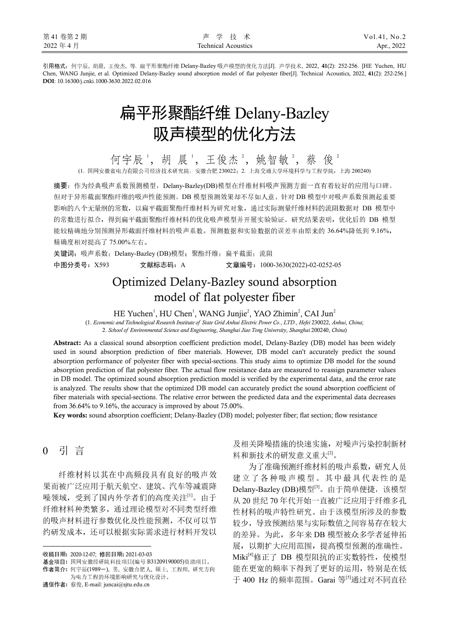引用格式:何宇辰, 胡晨, 王俊杰, 等. 扁平形聚酯纤维 Delany-Bazley 吸声模型的优化方法[J]. 声学技术, 2022, **41**(2): 252-256. [HE Yuchen, HU Chen, WANG Junjie, et al. Optimized Delany-Bazley sound absorption model of flat polyester fiber[J]. Technical Acoustics, 2022, **41**(2): 252-256.] **DOI**: 10.16300/j.cnki.1000-3630.2022.02.016

# 扁平形聚酯纤维 Delany-Bazley 吸声模型的优化方法

何宇辰',胡晨',王俊杰2,姚智敏2,蔡俊2 (1. 国网安徽省电力有限公司经济技术研究院,安徽合肥 230022;2. 上海交通大学环境科学与工程学院,上海 200240)

摘要:作为经典吸声系数预测模型,Delany-Bazley(DB)模型在纤维材料吸声预测方面一直有着较好的应用与口碑。 但对于异形截面聚酯纤维的吸声性能预测,DB 模型预测效果却不尽如人意。针对 DB 模型中对吸声系数预测起重要 影响的八个无量纲的常数,以扁平截面聚酯纤维材料为研究对象,通过实际测量纤维材料的流阻数据对 DB 模型中 的常数进行拟合,得到扁平截面聚酯纤维材料的优化吸声模型并开展实验验证。研究结果表明,优化后的 DB 模型 能较精确地分别预测异形截面纤维材料的吸声系数。预测数据和实验数据的误差率由原来的 36.64%降低到 9.16%, 精确度相对提高了 75.00%左右。

关键词:吸声系数;Delanv-Bazlev (DB)模型;聚酯纤维;扁平截面;流阻 中图分类号:X593 文献标志码:A 文章编号:1000-3630(2022)-02-0252-05

# Optimized Delany-Bazley sound absorption model of flat polyester fiber

HE Yuchen<sup>1</sup>, HU Chen<sup>1</sup>, WANG Junjie<sup>2</sup>, YAO Zhimin<sup>2</sup>, CAI Jun<sup>2</sup>

(1. *Economic and Technological Research Institute of State Grid Anhui Electric Power Co*., *LTD*., *Hefei* 230022, *Anhui*, *China*; 2. *School of Environmental Science and Engineering*, *Shanghai Jiao Tong University*, *Shanghai* 200240, *China*)

**Abstract:** As a classical sound absorption coefficient prediction model, Delany-Bazley (DB) model has been widely used in sound absorption prediction of fiber materials. However, DB model can't accurately predict the sound absorption performance of polyester fiber with special-sections. This study aims to optimize DB model for the sound absorption prediction of flat polyester fiber. The actual flow resistance data are measured to reassign parameter values in DB model. The optimized sound absorption prediction model is verified by the experimental data, and the error rate is analyzed. The results show that the optimized DB model can accurately predict the sound absorption coefficient of fiber materials with special-sections. The relative error between the predicted data and the experimental data decreases from 36.64% to 9.16%, the accuracy is improved by about 75.00%.

**Key words:** sound absorption coefficient; Delany-Bazley (DB) model; polyester fiber; flat section; flow resistance

# 0 引 言<sup>1</sup>

j

纤维材料以其在中高频段具有良好的吸声效 果而被广泛应用于航天航空、建筑、汽车等减震降 噪领域, 受到了国内外学者们的高度关注[1]。由于 纤维材料种类繁多,通过理论模型对不同类型纤维 的吸声材料进行参数优化及性能预测,不仅可以节 约研发成本,还可以根据实际需求进行材料开发以

收稿日期**:** 2020-12-07; 修回日期**:** 2021-03-03

及相关降噪措施的快速实施,对噪声污染控制新材 料和新技术的研发意义重大[2]。

为了准确预测纤维材料的吸声系数,研究人员 建立了各种吸声模型。其中最具代表性的是 Delany-Bazley (DB)模型[3]。由于简单便捷,该模型 从 20 世纪 70 年代开始一直被广泛应用于纤维多孔 性材料的吸声特性研究。由于该模型所涉及的参数 较少,导致预测结果与实际数值之间容易存在较大 的差异。为此,多年来 DB 模型被众多学者延伸拓 展,以期扩大应用范围,提高模型预测的准确性。 Miki<sup>[4]</sup>修正了 DB 模型阻抗的正实数特性, 使模型 能在更宽的频率下得到了更好的运用,特别是在低 于 400 Hz 的频率范围。Garai 等<sup>[5]</sup>通过对不同直径

基金项目**:** 国网安徽经研院科技项目(编号 B31209190005)资助项目。

作者简介**:** 何宇辰(1989-), 男, 安徽合肥人, 硕士, 工程师, 研究方向 为电力工程的环境影响研究与优化设计。

通信作者**:** 蔡俊, E-mail: juncai@sjtu.edu.cn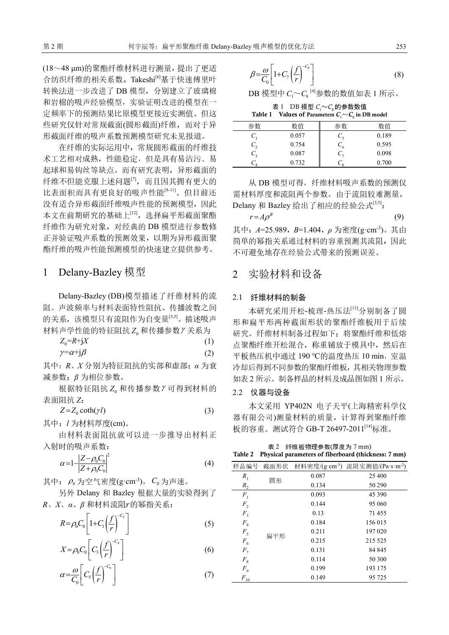(18~48 μm)的聚酯纤维材料进行测量,提出了更适 合纺织纤维的相关系数。Takeshi<sup>[6]</sup>基于快速傅里叶 转换法进一步改进了 DB 模型, 分别建立了玻璃棉 和岩棉的吸声经验模型,实验证明改进的模型在一 定频率下的预测结果比原模型更接近实测值。但这 些研究仅针对常规截面(圆形截面)纤维,而对于异 形截面纤维的吸声系数预测模型研究未见报道。

在纤维的实际运用中,常规圆形截面的纤维技 术工艺相对成熟,性能稳定,但是具有易沾污、易 起球和易钩丝等缺点。而有研究表明,异形截面的 纤维不但能克服上述问题[7],而且因其拥有更大的 比表面积而具有更良好的吸声性能[8-11]。但目前还 没有适合异形截面纤维吸声性能的预测模型,因此 本文在前期研究的基础上[12], 选择扁平形截面聚酯 纤维作为研究对象,对经典的 DB 模型进行参数修 正并验证吸声系数的预测效果,以期为异形截面聚 酯纤维的吸声性能预测模型的快速建立提供参考。

### 1 Delany-Bazley 模型

Delany-Bazley (DB)模型描述了纤维材料的流 阻、声波频率与材料表面特性阻抗、传播波数之间 的关系,该模型只有流阻作为自变量[3,5]。描述吸声 材料声学性能的特征阻抗 Zo 和传播参数  $\gamma$ 关系为

$$
Z_0 = R + jX
$$
  
\n
$$
\gamma = \alpha + j\beta
$$
\n(1)

其中:*R*、*X* 分别为特征阻抗的实部和虚部;*α* 为衰 减参数;*β* 为相位参数。

根据特征阻抗 Z 和传播参数 Y 可得到材料的 表面阻抗 *Z*:

$$
Z = Z_0 \coth(\gamma l) \tag{3}
$$

其中:*l* 为材料厚度(cm)。

由材料表面阻抗就可以进一步推导出材料正 入射时的吸声系数:

$$
\alpha = 1 - \left| \frac{Z - \rho_0 C_0}{Z + \rho_0 C_0} \right|^2 \tag{4}
$$

其中:  $\rho_0$  为空气密度(g·cm<sup>-3</sup>),  $C_0$  为声速。

另外 Delany 和 Bazley 根据大量的实验得到了 *R*、*X*、*α*、*β* 和材料流阻的幂指关系:

$$
R = \rho_0 C_0 \left[ 1 + C_1 \left( \frac{f}{r} \right)^{-C_2} \right]
$$
 (5)

$$
X = \rho_0 C_0 \left[ C_3 \left( \frac{f}{r} \right)^{-c_4} \right] \tag{6}
$$

$$
\alpha = \frac{\omega}{C_0} \left[ C_5 \left( \frac{f}{r} \right)^{-C_6} \right] \tag{7}
$$

$$
\beta = \frac{\omega}{C_0} \left[ 1 + C_7 \left( \frac{f}{r} \right)^{-C_8} \right] \tag{8}
$$

 $DB$  模型中 $C_1 \sim C_8$  [4]参数的数值如表 1 所示。

表 1 DB 模型  $C_1 \sim C_8$ 的参数数值 **Table 1** Values of Parameters  $C_1 \sim C_8$  in DB model

|    |       | $\sim$<br>$\sim$   |       |
|----|-------|--------------------|-------|
| 参数 | 数值    | 参数                 | 数值    |
|    | 0.057 |                    | 0.189 |
|    | 0.754 | $\mathfrak{c}_{6}$ | 0.595 |
|    | 0.087 |                    | 0.098 |
|    | 0.732 |                    | 0.700 |

从 DB 模型可得,纤维材料吸声系数的预测仅 需材料厚度和流阻两个参数。由于流阻较难测量, Delany 和 Bazley 给出了相应的经验公式[3,5]:

$$
r = A \rho^B \tag{9}
$$

其中:*A*=25.989,*B*=1.404,*ρ* 为密度(g·cm-3)。其由 简单的幂指关系通过材料的容重预测其流阻,因此 不可避免地存在经验公式带来的预测误差。

## 2 实验材料和设备

#### 2.1 纤维材料的制备

本研究采用开松-梳理-热压法[13]分别制备了圆 形和扁平形两种截面形状的聚酯纤维板用于后续 研究。纤维材料制备过程如下:将聚酯纤维和低熔 点聚酯纤维开松混合,称重铺放于模具中,然后在 平板热压机中通过 190 ℃的温度热压 10 min, 室温 冷却后得到不同参数的聚酯纤维板,其相关物理参数 如表 2 所示。制备样品的材料及成品图如图 1 所示。

#### 2.2 仪器与设备

本文采用 YP402N 电子天平(上海精密科学仪 器有限公司)测量材料的质量,计算得到聚酯纤维 板的容重。测试符合 GB-T 26497-2011<sup>[14]</sup>标准。

表 2 纤维板物理参数(厚度为 7 mm) **Table 2 Physical parameters of fiberboard (thickness: 7 mm)** 

| 样品编号           | 截面形状 |       | 材料密度/(g·cm-3) 流阻实测值/(Pa·s·m-2) |
|----------------|------|-------|--------------------------------|
| $R_1$          |      | 0.087 | 25 400                         |
| $R_{2}$        | 圆形   | 0.134 | 50 290                         |
| $F_1$          |      | 0.093 | 45 390                         |
| F <sub>2</sub> |      | 0.144 | 95 060                         |
| F <sub>3</sub> |      | 0.13  | 71455                          |
| $F_{\rm 4}$    |      | 0.184 | 156 015                        |
| $F_5$          |      | 0.211 | 197 020                        |
| $F_{6}$        | 扁平形  | 0.215 | 215 525                        |
| F <sub>7</sub> |      | 0.131 | 84 845                         |
| $F_8$          |      | 0.114 | 50 300                         |
| $F_{9}$        |      | 0.199 | 193 175                        |
| $F_{\rm 10}$   |      | 0.149 | 95 725                         |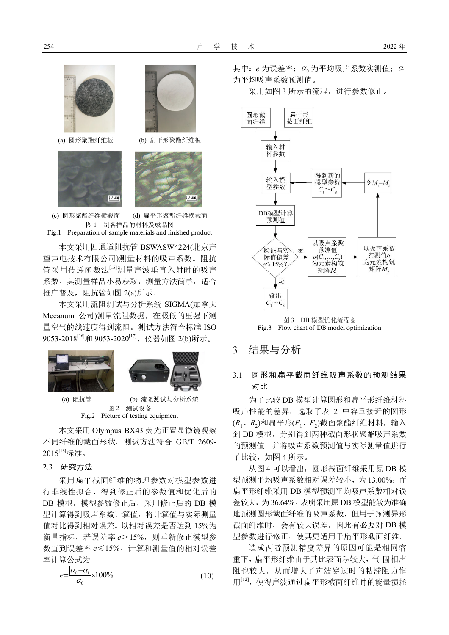





(a) 圆形聚酯纤维板 (b) 扁平形聚酯纤维板



(c) 圆形聚酯纤维横截面 (d) 扁平形聚酯纤维横截面 图 1 制备样品的材料及成品图 Fig.1 Preparation of sample materials and finished product

本文采用四通道阻抗管 BSWASW4224(北京声 望声电技术有限公司)测量材料的吸声系数。阻抗 管采用传递函数法[15]测量声波垂直入射时的吸声 系数。其测量样品小易获取,测量方法简单,适合 推广普及,阻抗管如图 2(a)所示。

本文采用流阻测试与分析系统 SIGMA(加拿大 Mecanum 公司)测量流阻数据,在极低的压强下测 量空气的线速度得到流阻。测试方法符合标准 ISO 9053-2018<sup>[16]</sup>和 9053-2020<sup>[17]</sup>, 仪器如图 2(b)所示。





(a) 阻抗管 (b) 流阻测试与分析系统 图 2 测试设备 Fig.2 Picture of testing equipment

本文采用 Olympus BX43 荧光正置显微镜观察 不同纤维的截面形状。测试方法符合 GB/T 2609- 2015[18]标准。

#### 2.3 研究方法

采用扁平截面纤维的物理参数对模型参数进 行非线性拟合,得到修正后的参数值和优化后的 DB 模型。模型参数修正后,采用修正后的 DB 模 型计算得到吸声系数计算值,将计算值与实际测量 值对比得到相对误差。以相对误差是否达到 15%为 衡量指标,若误差率 *e*>15%,则重新修正模型参 数直到误差率 *e*≤15%。计算和测量值的相对误差 率计算公式为

$$
e = \frac{|\alpha_0 - \alpha_1|}{\alpha_0} \times 100\%
$$
\n(10)

其中:  $e$  为误差率;  $\alpha_0$  为平均吸声系数实测值;  $\alpha_1$ 为平均吸声系数预测值。

采用如图 3 所示的流程,进行参数修正。



图 3 DB 模型优化流程图 Fig.3 Flow chart of DB model optimization

3 结果与分析

# 3.1 圆形和扁平截面纤维吸声系数的预测结果 对比

为了比较 DB 模型计算圆形和扁平形纤维材料 吸声性能的差异,选取了表 2 中容重接近的圆形 (*R*1、*R*<sup>2</sup> )和扁平形(*F*1、*F*<sup>2</sup> )截面聚酯纤维材料,输入 到 DB 模型,分别得到两种截面形状聚酯吸声系数 的预测值,并将吸声系数预测值与实际测量值进行 了比较,如图 4 所示。

从图 4 可以看出, 圆形截面纤维采用原 DB 模 型预测平均吸声系数相对误差较小,为 13.00%;而 扁平形纤维采用 DB 模型预测平均吸声系数相对误 差较大,为 36.64%。表明采用原 DB 模型能较为准确 地预测圆形截面纤维的吸声系数,但用于预测异形 截面纤维时,会有较大误差。因此有必要对 DB 模 型参数进行修正,使其更适用于扁平形截面纤维。

造成两者预测精度差异的原因可能是相同容 重下,扁平形纤维由于其比表面积较大,气-固相声 阻也较大,从而增大了声波穿过时的粘滞阻力作 用[12],使得声波通过扁平形截面纤维时的能量损耗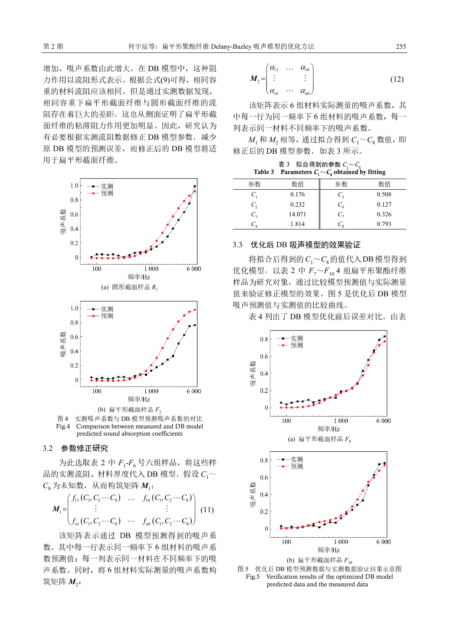增加,吸声系数由此增大。在 DB 模型中,这种阻 力作用以流阻形式表示。根据公式(9)可得,相同容 重的材料流阻应该相同。但是通过实测数据发现, 相同容重下扁平形截面纤维与圆形截面纤维的流 阻存在着巨大的差距,这也从侧面证明了扁平形截 面纤维的粘滞阻力作用更加明显。因此,研究认为 有必要根据实测流阻数据修正 DB 模型参数,减少 原 DB 模型的预测误差,而修正后的 DB 模型将适 用于扁平形截面纤维。



图 4 实测吸声系数与 DB 模型预测吸声系数的对比 Fig.4 Comparison between measured and DB model predicted sound absorption coefficients

#### 3.2 参数修正研究

为此选取表 2 中 F<sub>1</sub>-F<sub>6</sub>号六组样品, 将这些样 品的实测流阻、材料厚度代入 DB 模型,假设  $C_1 \sim$  $C_8$  为未知数, 从而构筑矩阵 *M*<sub>1</sub>:

$$
M_{1} = \begin{pmatrix} f_{11}(C_{1}, C_{2} \cdots C_{8}) & \dots & f_{16}(C_{1}, C_{2} \cdots C_{8}) \\ \vdots & & \vdots \\ f_{n1}(C_{1}, C_{2} \cdots C_{8}) & \dots & f_{n6}(C_{1}, C_{2} \cdots C_{8}) \end{pmatrix} (11)
$$

该矩阵表示通过 DB 模型预测得到的吸声系 数。其中每一行表示同一频率下 <sup>6</sup> 组材料的吸声系 数预测值;每一列表示同一材料在不同频率下的吸 声系数。同时,将 <sup>6</sup> 组材料实际测量的吸声系数构 筑矩阵  $M$ <sub>2</sub>:

$$
M_2 = \begin{pmatrix} \alpha_{11} & \cdots & \alpha_{16} \\ \vdots & & \vdots \\ \alpha_{n1} & \cdots & \alpha_{n6} \end{pmatrix}
$$
 (12)

该矩阵表示 6 组材料实际测量的吸声系数, 其 中每一行为同一频率下 <sup>6</sup> 组材料的吸声系数,每一 列表示同一材料不同频率下的吸声系数。

 $M_1$ 和  $M_2$ 相等, 通过拟合得到  $C_1 \sim C_8$ 数值, 即 修正后的 DB 模型参数, 如表 3 所示。

表 3 拟合得到的参数  $C_1 \sim C_8$ Table 3 Parameters  $C_1 \sim C_8$  obtained by fitting

| 参数             | 数值     | 参数              | 数值    |
|----------------|--------|-----------------|-------|
| $C_{1}$        | 0.176  | $C_{\varsigma}$ | 0.508 |
| C <sub>2</sub> | 0.232  | $C_{6}$         | 0.127 |
| $C_{3}$        | 14.071 | $C_{\tau}$      | 0.326 |
|                | 1.814  | $\sim$ 0        | 0.793 |

#### 3.3 优化后 DB 吸声模型的效果验证

将拟合后得到的 $C_1 \sim C_8$ 的值代入DB模型得到 优化模型, 以表 2 中  $F_7 \sim F_{10}$  4 组扁平形聚酯纤维 样品为研究对象,通过比较模型预测值与实际测量 值来验证修正模型的效果。图 <sup>5</sup> 是优化后 DB 模型 吸声预测值与实测值的比较曲线。

<sup>表</sup> <sup>4</sup> 列出了 DB 模型优化前后误差对比。由表



图 5 优化后 DB 模型预测数据与实测数据验证结果示意图 Fig.5 Verification results of the optimized DB model predicted data and the measured data